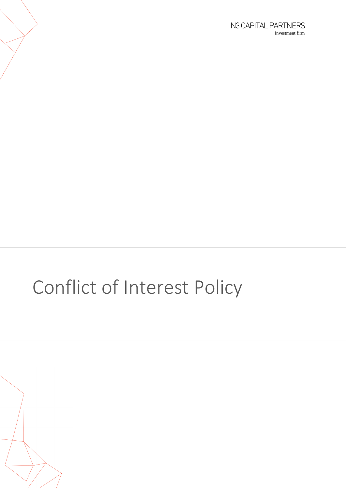# Conflict of Interest Policy

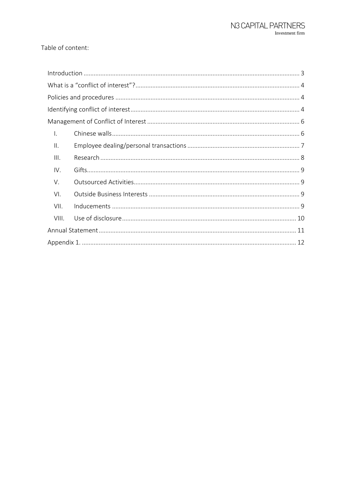#### Table of content:

| $\mathsf{L}$    |  |
|-----------------|--|
| $\mathbf{II}$ . |  |
| III.            |  |
| IV.             |  |
| V.              |  |
| VI.             |  |
| VII.            |  |
| VIII.           |  |
|                 |  |
|                 |  |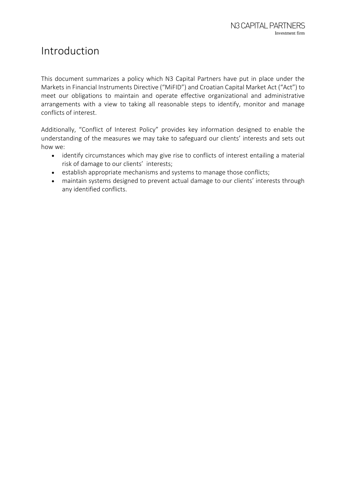## <span id="page-2-0"></span>Introduction

This document summarizes a policy which N3 Capital Partners have put in place under the Markets in Financial Instruments Directive ("MiFID") and Croatian Capital Market Act ("Act") to meet our obligations to maintain and operate effective organizational and administrative arrangements with a view to taking all reasonable steps to identify, monitor and manage conflicts of interest.

Additionally, "Conflict of Interest Policy" provides key information designed to enable the understanding of the measures we may take to safeguard our clients' interests and sets out how we:

- identify circumstances which may give rise to conflicts of interest entailing a material risk of damage to our clients' interests;
- establish appropriate mechanisms and systems to manage those conflicts;
- maintain systems designed to prevent actual damage to our clients' interests through any identified conflicts.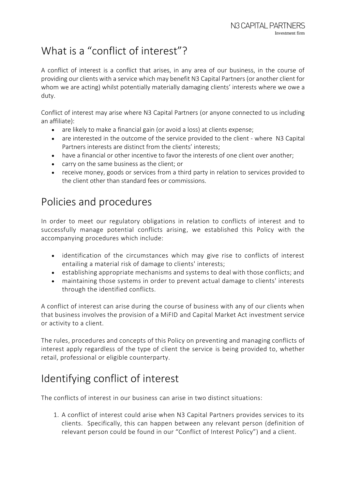# <span id="page-3-0"></span>What is a "conflict of interest"?

A conflict of interest is a conflict that arises, in any area of our business, in the course of providing our clients with a service which may benefit N3 Capital Partners (or another client for whom we are acting) whilst potentially materially damaging clients' interests where we owe a duty.

Conflict of interest may arise where N3 Capital Partners (or anyone connected to us including an affiliate):

- are likely to make a financial gain (or avoid a loss) at clients expense;
- are interested in the outcome of the service provided to the client where N3 Capital Partners interests are distinct from the clients' interests;
- have a financial or other incentive to favor the interests of one client over another;
- carry on the same business as the client; or
- receive money, goods or services from a third party in relation to services provided to the client other than standard fees or commissions.

# <span id="page-3-1"></span>Policies and procedures

In order to meet our regulatory obligations in relation to conflicts of interest and to successfully manage potential conflicts arising, we established this Policy with the accompanying procedures which include:

- identification of the circumstances which may give rise to conflicts of interest entailing a material risk of damage to clients' interests;
- establishing appropriate mechanisms and systems to deal with those conflicts; and
- maintaining those systems in order to prevent actual damage to clients' interests through the identified conflicts.

A conflict of interest can arise during the course of business with any of our clients when that business involves the provision of a MiFID and Capital Market Act investment service or activity to a client.

The rules, procedures and concepts of this Policy on preventing and managing conflicts of interest apply regardless of the type of client the service is being provided to, whether retail, professional or eligible counterparty.

## <span id="page-3-2"></span>Identifying conflict of interest

The conflicts of interest in our business can arise in two distinct situations:

1. A conflict of interest could arise when N3 Capital Partners provides services to its clients. Specifically, this can happen between any relevant person (definition of relevant person could be found in our "Conflict of Interest Policy") and a client.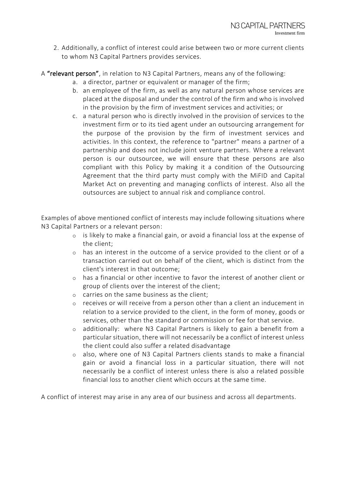2. Additionally, a conflict of interest could arise between two or more current clients to whom N3 Capital Partners provides services.

A "relevant person", in relation to N3 Capital Partners, means any of the following:

- a. a director, partner or equivalent or manager of the firm;
- b. an employee of the firm, as well as any natural person whose services are placed at the disposal and under the control of the firm and who is involved in the provision by the firm of investment services and activities; or
- c. a natural person who is directly involved in the provision of services to the investment firm or to its tied agent under an outsourcing arrangement for the purpose of the provision by the firm of investment services and activities. In this context, the reference to "partner" means a partner of a partnership and does not include joint venture partners. Where a relevant person is our outsourcee, we will ensure that these persons are also compliant with this Policy by making it a condition of the Outsourcing Agreement that the third party must comply with the MiFID and Capital Market Act on preventing and managing conflicts of interest. Also all the outsources are subject to annual risk and compliance control.

Examples of above mentioned conflict of interests may include following situations where N3 Capital Partners or a relevant person:

- o is likely to make a financial gain, or avoid a financial loss at the expense of the client;
- o has an interest in the outcome of a service provided to the client or of a transaction carried out on behalf of the client, which is distinct from the client's interest in that outcome;
- o has a financial or other incentive to favor the interest of another client or group of clients over the interest of the client;
- o carries on the same business as the client;
- o receives or will receive from a person other than a client an inducement in relation to a service provided to the client, in the form of money, goods or services, other than the standard or commission or fee for that service.
- o additionally: where N3 Capital Partners is likely to gain a benefit from a particular situation, there will not necessarily be a conflict of interest unless the client could also suffer a related disadvantage
- o also, where one of N3 Capital Partners clients stands to make a financial gain or avoid a financial loss in a particular situation, there will not necessarily be a conflict of interest unless there is also a related possible financial loss to another client which occurs at the same time.

A conflict of interest may arise in any area of our business and across all departments.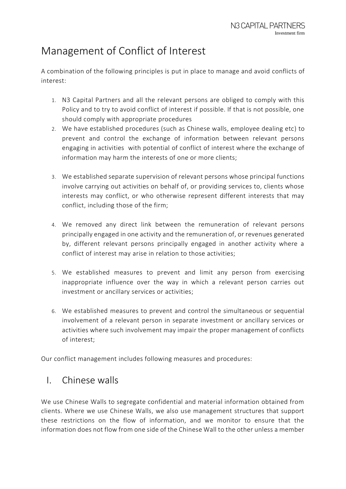## <span id="page-5-0"></span>Management of Conflict of Interest

A combination of the following principles is put in place to manage and avoid conflicts of interest:

- 1. N3 Capital Partners and all the relevant persons are obliged to comply with this Policy and to try to avoid conflict of interest if possible. If that is not possible, one should comply with appropriate procedures
- 2. We have established procedures (such as Chinese walls, employee dealing etc) to prevent and control the exchange of information between relevant persons engaging in activities with potential of conflict of interest where the exchange of information may harm the interests of one or more clients;
- 3. We established separate supervision of relevant persons whose principal functions involve carrying out activities on behalf of, or providing services to, clients whose interests may conflict, or who otherwise represent different interests that may conflict, including those of the firm;
- 4. We removed any direct link between the remuneration of relevant persons principally engaged in one activity and the remuneration of, or revenues generated by, different relevant persons principally engaged in another activity where a conflict of interest may arise in relation to those activities;
- 5. We established measures to prevent and limit any person from exercising inappropriate influence over the way in which a relevant person carries out investment or ancillary services or activities;
- 6. We established measures to prevent and control the simultaneous or sequential involvement of a relevant person in separate investment or ancillary services or activities where such involvement may impair the proper management of conflicts of interest;

<span id="page-5-1"></span>Our conflict management includes following measures and procedures:

#### I. Chinese walls

We use Chinese Walls to segregate confidential and material information obtained from clients. Where we use Chinese Walls, we also use management structures that support these restrictions on the flow of information, and we monitor to ensure that the information does not flow from one side of the Chinese Wall to the other unless a member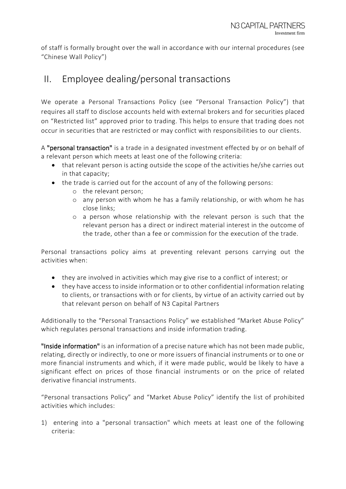of staff is formally brought over the wall in accordance with our internal procedures (see "Chinese Wall Policy")

#### <span id="page-6-0"></span>II. Employee dealing/personal transactions

We operate a Personal Transactions Policy (see "Personal Transaction Policy") that requires all staff to disclose accounts held with external brokers and for securities placed on "Restricted list" approved prior to trading. This helps to ensure that trading does not occur in securities that are restricted or may conflict with responsibilities to our clients.

A "personal transaction" is a trade in a designated investment effected by or on behalf of a relevant person which meets at least one of the following criteria:

- that relevant person is acting outside the scope of the activities he/she carries out in that capacity;
- the trade is carried out for the account of any of the following persons:
	- o the relevant person;
	- o any person with whom he has a family relationship, or with whom he has close links;
	- o a person whose relationship with the relevant person is such that the relevant person has a direct or indirect material interest in the outcome of the trade, other than a fee or commission for the execution of the trade.

Personal transactions policy aims at preventing relevant persons carrying out the activities when:

- they are involved in activities which may give rise to a conflict of interest; or
- they have access to inside information or to other confidential information relating to clients, or transactions with or for clients, by virtue of an activity carried out by that relevant person on behalf of N3 Capital Partners

Additionally to the "Personal Transactions Policy" we established "Market Abuse Policy" which regulates personal transactions and inside information trading.

"Inside information" is an information of a precise nature which has not been made public, relating, directly or indirectly, to one or more issuers of financial instruments or to one or more financial instruments and which, if it were made public, would be likely to have a significant effect on prices of those financial instruments or on the price of related derivative financial instruments.

"Personal transactions Policy" and "Market Abuse Policy" identify the list of prohibited activities which includes:

1) entering into a "personal transaction" which meets at least one of the following criteria: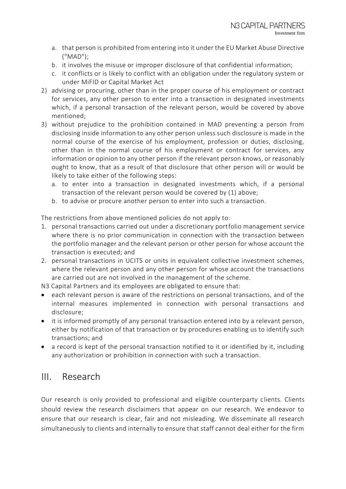- a. that person is prohibited from entering into it under the EU Market Abuse Directive ("MAD");
- b. it involves the misuse or improper disclosure of that confidential information;
- c. it conflicts or is likely to conflict with an obligation under the regulatory system or under MiFID or Capital Market Act
- 2) advising or procuring, other than in the proper course of his employment or contract for services, any other person to enter into a transaction in designated investments which, if a personal transaction of the relevant person, would be covered by above mentioned;
- 3) without prejudice to the prohibition contained in MAD preventing a person from disclosing inside information to any other person unless such disclosure is made in the normal course of the exercise of his employment, profession or duties, disclosing, other than in the normal course of his employment or contract for services, any information or opinion to any other person if the relevant person knows, or reasonably ought to know, that as a result of that disclosure that other person will or would be likely to take either of the following steps:
	- a. to enter into a transaction in designated investments which, if a personal transaction of the relevant person would be covered by (1) above;
	- b. to advise or procure another person to enter into such a transaction.

The restrictions from above mentioned policies do not apply to:

- 1. personal transactions carried out under a discretionary portfolio management service where there is no prior communication in connection with the transaction between the portfolio manager and the relevant person or other person for whose account the transaction is executed; and
- 2. personal transactions in UCITS or units in equivalent collective investment schemes, where the relevant person and any other person for whose account the transactions are carried out are not involved in the management of the scheme.
- N3 Capital Partners and its employees are obligated to ensure that:
- each relevant person is aware of the restrictions on personal transactions, and of the internal measures implemented in connection with personal transactions and disclosure;
- it is informed promptly of any personal transaction entered into by a relevant person, either by notification of that transaction or by procedures enabling us to identify such transactions; and
- a record is kept of the personal transaction notified to it or identified by it, including any authorization or prohibition in connection with such a transaction.

#### <span id="page-7-0"></span>III. Research

Our research is only provided to professional and eligible counterparty clients. Clients should review the research disclaimers that appear on our research. We endeavor to ensure that our research is clear, fair and not misleading. We disseminate all research simultaneously to clients and internally to ensure that staff cannot deal either for the firm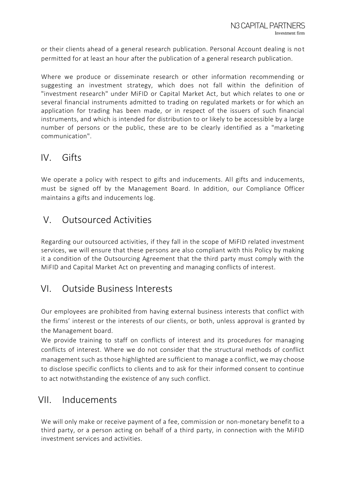or their clients ahead of a general research publication. Personal Account dealing is not permitted for at least an hour after the publication of a general research publication.

Where we produce or disseminate research or other information recommending or suggesting an investment strategy, which does not fall within the definition of "investment research" under MiFID or Capital Market Act, but which relates to one or several financial instruments admitted to trading on regulated markets or for which an application for trading has been made, or in respect of the issuers of such financial instruments, and which is intended for distribution to or likely to be accessible by a large number of persons or the public, these are to be clearly identified as a "marketing communication".

#### <span id="page-8-0"></span>IV. Gifts

We operate a policy with respect to gifts and inducements. All gifts and inducements, must be signed off by the Management Board. In addition, our Compliance Officer maintains a gifts and inducements log.

#### <span id="page-8-1"></span>V. Outsourced Activities

Regarding our outsourced activities, if they fall in the scope of MiFID related investment services, we will ensure that these persons are also compliant with this Policy by making it a condition of the Outsourcing Agreement that the third party must comply with the MiFID and Capital Market Act on preventing and managing conflicts of interest.

#### <span id="page-8-2"></span>VI. Outside Business Interests

Our employees are prohibited from having external business interests that conflict with the firms' interest or the interests of our clients, or both, unless approval is granted by the Management board.

We provide training to staff on conflicts of interest and its procedures for managing conflicts of interest. Where we do not consider that the structural methods of conflict management such as those highlighted are sufficient to manage a conflict, we may choose to disclose specific conflicts to clients and to ask for their informed consent to continue to act notwithstanding the existence of any such conflict.

#### <span id="page-8-3"></span>VII. Inducements

We will only make or receive payment of a fee, commission or non-monetary benefit to a third party, or a person acting on behalf of a third party, in connection with the MiFID investment services and activities.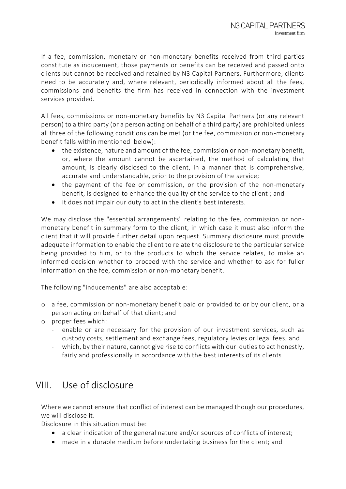If a fee, commission, monetary or non-monetary benefits received from third parties constitute as inducement, those payments or benefits can be received and passed onto clients but cannot be received and retained by N3 Capital Partners. Furthermore, clients need to be accurately and, where relevant, periodically informed about all the fees, commissions and benefits the firm has received in connection with the investment services provided.

All fees, commissions or non-monetary benefits by N3 Capital Partners (or any relevant person) to a third party (or a person acting on behalf of a third party) are prohibited unless all three of the following conditions can be met (or the fee, commission or non-monetary benefit falls within mentioned below):

- the existence, nature and amount of the fee, commission or non-monetary benefit, or, where the amount cannot be ascertained, the method of calculating that amount, is clearly disclosed to the client, in a manner that is comprehensive, accurate and understandable, prior to the provision of the service;
- the payment of the fee or commission, or the provision of the non-monetary benefit, is designed to enhance the quality of the service to the client ; and
- it does not impair our duty to act in the client's best interests.

We may disclose the "essential arrangements" relating to the fee, commission or nonmonetary benefit in summary form to the client, in which case it must also inform the client that it will provide further detail upon request. Summary disclosure must provide adequate information to enable the client to relate the disclosure to the particular service being provided to him, or to the products to which the service relates, to make an informed decision whether to proceed with the service and whether to ask for fuller information on the fee, commission or non-monetary benefit.

The following "inducements" are also acceptable:

- o a fee, commission or non-monetary benefit paid or provided to or by our client, or a person acting on behalf of that client; and
- o proper fees which:
	- enable or are necessary for the provision of our investment services, such as custody costs, settlement and exchange fees, regulatory levies or legal fees; and
	- which, by their nature, cannot give rise to conflicts with our duties to act honestly, fairly and professionally in accordance with the best interests of its clients

#### <span id="page-9-0"></span>VIII. Use of disclosure

Where we cannot ensure that conflict of interest can be managed though our procedures, we will disclose it.

Disclosure in this situation must be:

- a clear indication of the general nature and/or sources of conflicts of interest;
- made in a durable medium before undertaking business for the client; and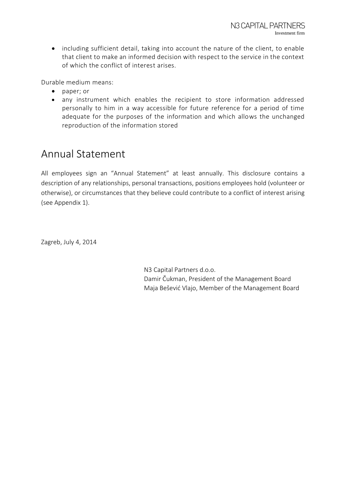including sufficient detail, taking into account the nature of the client, to enable that client to make an informed decision with respect to the service in the context of which the conflict of interest arises.

Durable medium means:

- paper; or
- any instrument which enables the recipient to store information addressed personally to him in a way accessible for future reference for a period of time adequate for the purposes of the information and which allows the unchanged reproduction of the information stored

## <span id="page-10-0"></span>Annual Statement

All employees sign an "Annual Statement" at least annually. This disclosure contains a description of any relationships, personal transactions, positions employees hold (volunteer or otherwise), or circumstances that they believe could contribute to a conflict of interest arising (see Appendix 1).

Zagreb, July 4, 2014

N3 Capital Partners d.o.o. Damir Čukman, President of the Management Board Maja Bešević Vlajo, Member of the Management Board